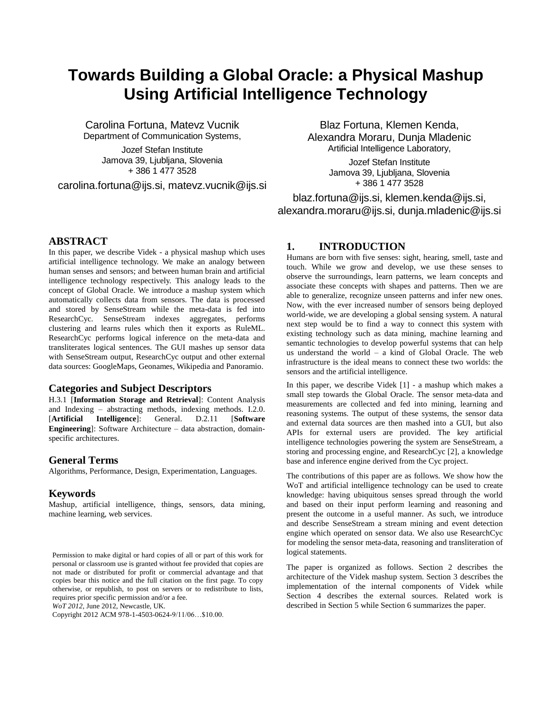# **Towards Building a Global Oracle: a Physical Mashup Using Artificial Intelligence Technology**

Carolina Fortuna, Matevz Vucnik Department of Communication Systems,

> Jozef Stefan Institute Jamova 39, Liubliana, Slovenia + 386 1 477 3528

carolina.fortuna@ijs.si, matevz.vucnik@ijs.si

Blaz Fortuna, Klemen Kenda, Alexandra Moraru, Dunja Mladenic Artificial Intelligence Laboratory,

> Jozef Stefan Institute Jamova 39, Ljubljana, Slovenia + 386 1 477 3528

blaz.fortuna@ijs.si, klemen.kenda@ijs.si, alexandra.moraru@ijs.si, dunja.mladenic@ijs.si

# **ABSTRACT**

In this paper, we describe Videk - a physical mashup which uses artificial intelligence technology. We make an analogy between human senses and sensors; and between human brain and artificial intelligence technology respectively. This analogy leads to the concept of Global Oracle. We introduce a mashup system which automatically collects data from sensors. The data is processed and stored by SenseStream while the meta-data is fed into ResearchCyc. SenseStream indexes aggregates, performs clustering and learns rules which then it exports as RuleML. ResearchCyc performs logical inference on the meta-data and transliterates logical sentences. The GUI mashes up sensor data with SenseStream output, ResearchCyc output and other external data sources: GoogleMaps, Geonames, Wikipedia and Panoramio.

### **Categories and Subject Descriptors**

H.3.1 [**Information Storage and Retrieval**]: Content Analysis and Indexing – abstracting methods, indexing methods. I.2.0. [**Artificial Intelligence**]: General. D.2.11 [**Software Engineering**]: Software Architecture – data abstraction, domainspecific architectures.

# **General Terms**

Algorithms, Performance, Design, Experimentation, Languages.

### **Keywords**

Mashup, artificial intelligence, things, sensors, data mining, machine learning, web services.

*WoT 2012*, June 2012, Newcastle, UK.

Copyright 2012 ACM 978-1-4503-0624-9/11/06…\$10.00.

### **1. INTRODUCTION**

Humans are born with five senses: sight, hearing, smell, taste and touch. While we grow and develop, we use these senses to observe the surroundings, learn patterns, we learn concepts and associate these concepts with shapes and patterns. Then we are able to generalize, recognize unseen patterns and infer new ones. Now, with the ever increased number of sensors being deployed world-wide, we are developing a global sensing system. A natural next step would be to find a way to connect this system with existing technology such as data mining, machine learning and semantic technologies to develop powerful systems that can help us understand the world – a kind of Global Oracle. The web infrastructure is the ideal means to connect these two worlds: the sensors and the artificial intelligence.

In this paper, we describe Videk [\[1\]](#page-5-0) - a mashup which makes a small step towards the Global Oracle. The sensor meta-data and measurements are collected and fed into mining, learning and reasoning systems. The output of these systems, the sensor data and external data sources are then mashed into a GUI, but also APIs for external users are provided. The key artificial intelligence technologies powering the system are SenseStream, a storing and processing engine, and ResearchCyc [\[2\],](#page-5-1) a knowledge base and inference engine derived from the Cyc project.

The contributions of this paper are as follows. We show how the WoT and artificial intelligence technology can be used to create knowledge: having ubiquitous senses spread through the world and based on their input perform learning and reasoning and present the outcome in a useful manner. As such, we introduce and describe SenseStream a stream mining and event detection engine which operated on sensor data. We also use ResearchCyc for modeling the sensor meta-data, reasoning and transliteration of logical statements.

The paper is organized as follows. Section 2 describes the architecture of the Videk mashup system. Section 3 describes the implementation of the internal components of Videk while Section 4 describes the external sources. Related work is described in Section 5 while Section 6 summarizes the paper.

Permission to make digital or hard copies of all or part of this work for personal or classroom use is granted without fee provided that copies are not made or distributed for profit or commercial advantage and that copies bear this notice and the full citation on the first page. To copy otherwise, or republish, to post on servers or to redistribute to lists, requires prior specific permission and/or a fee.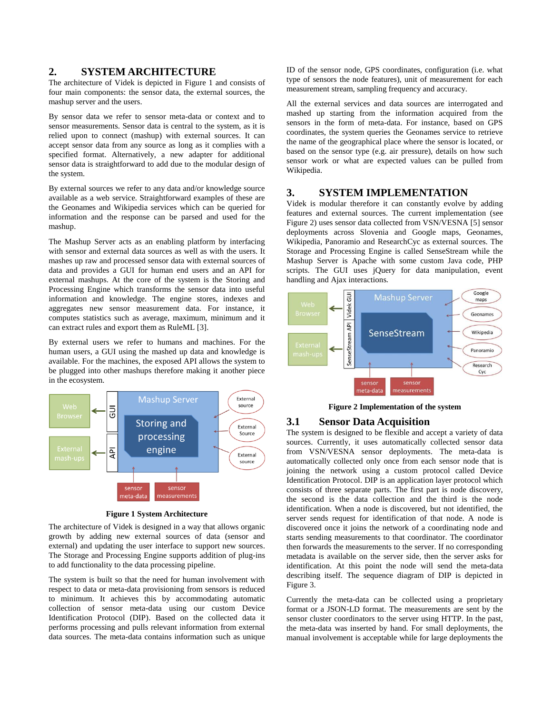### **2. SYSTEM ARCHITECTURE**

The architecture of Videk is depicted in [Figure 1](#page-1-0) and consists of four main components: the sensor data, the external sources, the mashup server and the users.

By sensor data we refer to sensor meta-data or context and to sensor measurements. Sensor data is central to the system, as it is relied upon to connect (mashup) with external sources. It can accept sensor data from any source as long as it complies with a specified format. Alternatively, a new adapter for additional sensor data is straightforward to add due to the modular design of the system.

By external sources we refer to any data and/or knowledge source available as a web service. Straightforward examples of these are the Geonames and Wikipedia services which can be queried for information and the response can be parsed and used for the mashup.

The Mashup Server acts as an enabling platform by interfacing with sensor and external data sources as well as with the users. It mashes up raw and processed sensor data with external sources of data and provides a GUI for human end users and an API for external mashups. At the core of the system is the Storing and Processing Engine which transforms the sensor data into useful information and knowledge. The engine stores, indexes and aggregates new sensor measurement data. For instance, it computes statistics such as average, maximum, minimum and it can extract rules and export them as RuleML [\[3\].](#page-5-2)

By external users we refer to humans and machines. For the human users, a GUI using the mashed up data and knowledge is available. For the machines, the exposed API allows the system to be plugged into other mashups therefore making it another piece in the ecosystem.



**Figure 1 System Architecture**

<span id="page-1-0"></span>The architecture of Videk is designed in a way that allows organic growth by adding new external sources of data (sensor and external) and updating the user interface to support new sources. The Storage and Processing Engine supports addition of plug-ins to add functionality to the data processing pipeline.

The system is built so that the need for human involvement with respect to data or meta-data provisioning from sensors is reduced to minimum. It achieves this by accommodating automatic collection of sensor meta-data using our custom Device Identification Protocol (DIP). Based on the collected data it performs processing and pulls relevant information from external data sources. The meta-data contains information such as unique

ID of the sensor node, GPS coordinates, configuration (i.e. what type of sensors the node features), unit of measurement for each measurement stream, sampling frequency and accuracy.

All the external services and data sources are interrogated and mashed up starting from the information acquired from the sensors in the form of meta-data. For instance, based on GPS coordinates, the system queries the Geonames service to retrieve the name of the geographical place where the sensor is located, or based on the sensor type (e.g. air pressure), details on how such sensor work or what are expected values can be pulled from Wikipedia.

# **3. SYSTEM IMPLEMENTATION**

Videk is modular therefore it can constantly evolve by adding features and external sources. The current implementation (see [Figure 2\)](#page-1-1) uses sensor data collected from VSN/VESNA [\[5\]](#page-5-3) sensor deployments across Slovenia and Google maps, Geonames, Wikipedia, Panoramio and ResearchCyc as external sources. The Storage and Processing Engine is called SenseStream while the Mashup Server is Apache with some custom Java code, PHP scripts. The GUI uses jQuery for data manipulation, event handling and Ajax interactions.



**Figure 2 Implementation of the system**

## <span id="page-1-1"></span>**3.1 Sensor Data Acquisition**

The system is designed to be flexible and accept a variety of data sources. Currently, it uses automatically collected sensor data from VSN/VESNA sensor deployments. The meta-data is automatically collected only once from each sensor node that is joining the network using a custom protocol called Device Identification Protocol. DIP is an application layer protocol which consists of three separate parts. The first part is node discovery, the second is the data collection and the third is the node identification. When a node is discovered, but not identified, the server sends request for identification of that node. A node is discovered once it joins the network of a coordinating node and starts sending measurements to that coordinator. The coordinator then forwards the measurements to the server. If no corresponding metadata is available on the server side, then the server asks for identification. At this point the node will send the meta-data describing itself. The sequence diagram of DIP is depicted in [Figure 3.](#page-2-0)

Currently the meta-data can be collected using a proprietary format or a JSON-LD format. The measurements are sent by the sensor cluster coordinators to the server using HTTP. In the past, the meta-data was inserted by hand. For small deployments, the manual involvement is acceptable while for large deployments the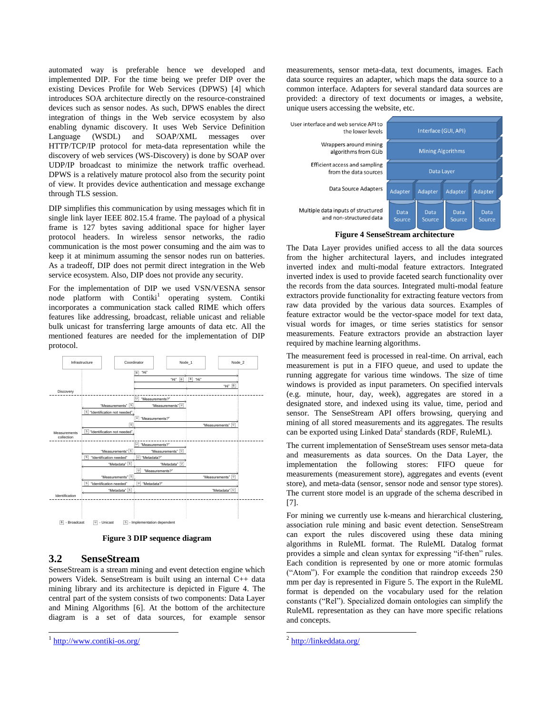automated way is preferable hence we developed and implemented DIP. For the time being we prefer DIP over the existing Devices Profile for Web Services (DPWS) [\[4\]](#page-5-4) which introduces SOA architecture directly on the resource-constrained devices such as sensor nodes. As such, DPWS enables the direct integration of things in the Web service ecosystem by also enabling dynamic discovery. It uses Web Service Definition Language (WSDL) and SOAP/XML messages over HTTP/TCP/IP protocol for meta-data representation while the discovery of web services (WS-Discovery) is done by SOAP over UDP/IP broadcast to minimize the network traffic overhead. DPWS is a relatively mature protocol also from the security point of view. It provides device authentication and message exchange through TLS session.

DIP simplifies this communication by using messages which fit in single link layer IEEE 802.15.4 frame. The payload of a physical frame is 127 bytes saving additional space for higher layer protocol headers. In wireless sensor networks, the radio communication is the most power consuming and the aim was to keep it at minimum assuming the sensor nodes run on batteries. As a tradeoff, DIP does not permit direct integration in the Web service ecosystem. Also, DIP does not provide any security.

For the implementation of DIP we used VSN/VESNA sensor node platform with Contiki<sup>1</sup> operating system. Contiki incorporates a communication stack called RIME which offers features like addressing, broadcast, reliable unicast and reliable bulk unicast for transferring large amounts of data etc. All the mentioned features are needed for the implementation of DIP protocol.



**Figure 3 DIP sequence diagram**

# <span id="page-2-0"></span>**3.2 SenseStream**

SenseStream is a stream mining and event detection engine which powers Videk. SenseStream is built using an internal C++ data mining library and its architecture is depicted in Figure 4. The central part of the system consists of two components: Data Layer and Mining Algorithms [\[6\].](#page-5-5) At the bottom of the architecture diagram is a set of data sources, for example sensor

 $\overline{a}$ 

measurements, sensor meta-data, text documents, images. Each data source requires an adapter, which maps the data source to a common interface. Adapters for several standard data sources are provided: a directory of text documents or images, a website, unique users accessing the website, etc.



**Figure 4 SenseStream architecture**

The Data Layer provides unified access to all the data sources from the higher architectural layers, and includes integrated inverted index and multi-modal feature extractors. Integrated inverted index is used to provide faceted search functionality over the records from the data sources. Integrated multi-modal feature extractors provide functionality for extracting feature vectors from raw data provided by the various data sources. Examples of feature extractor would be the vector-space model for text data, visual words for images, or time series statistics for sensor measurements. Feature extractors provide an abstraction layer required by machine learning algorithms.

The measurement feed is processed in real-time. On arrival, each measurement is put in a FIFO queue, and used to update the running aggregate for various time windows. The size of time windows is provided as input parameters. On specified intervals (e.g. minute, hour, day, week), aggregates are stored in a designated store, and indexed using its value, time, period and sensor. The SenseStream API offers browsing, querying and mining of all stored measurements and its aggregates. The results can be exported using Linked Data<sup>2</sup> standards (RDF, RuleML).

The current implementation of SenseStream uses sensor meta-data and measurements as data sources. On the Data Layer, the implementation the following stores: FIFO queue for measurements (measurement store), aggregates and events (event store), and meta-data (sensor, sensor node and sensor type stores). The current store model is an upgrade of the schema described in [\[7\].](#page-5-6)

For mining we currently use k-means and hierarchical clustering, association rule mining and basic event detection. SenseStream can export the rules discovered using these data mining algorithms in RuleML format. The RuleML Datalog format provides a simple and clean syntax for expressing "if-then" rules. Each condition is represented by one or more atomic formulas ("Atom"). For example the condition that raindrop exceeds 250 mm per day is represented in [Figure 5.](#page-3-0) The export in the RuleML format is depended on the vocabulary used for the relation constants ("Rel"). Specialized domain ontologies can simplify the RuleML representation as they can have more specific relations and concepts.

<sup>&</sup>lt;sup>1</sup> <http://www.contiki-os.org/>

<sup>&</sup>lt;sup>2</sup> <http://linkeddata.org/>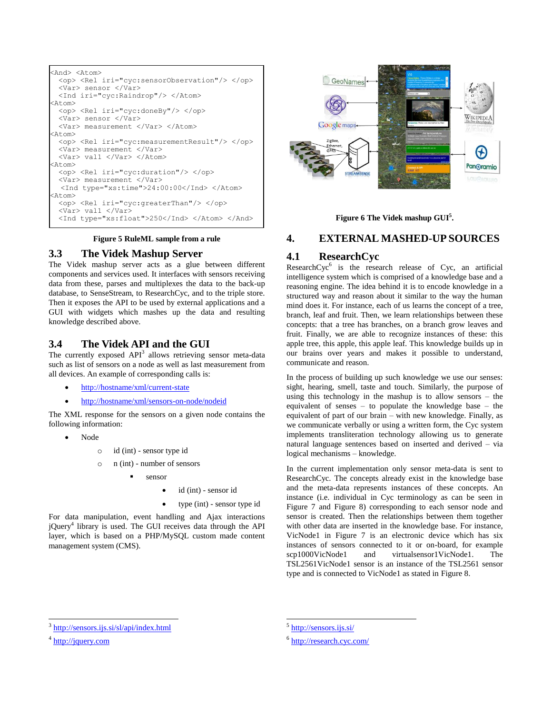```
<And> <Atom> 
  <op> <Rel iri="cyc:sensorObservation"/> </op>
  <Var> sensor </Var>
  <Ind iri="cyc:Raindrop"/> </Atom>
\tan 5 <op> <Rel iri="cyc:doneBy"/> </op>
  <Var> sensor </Var>
  <Var> measurement </Var> </Atom>
<Atom> 
  <op> <Rel iri="cyc:measurementResult"/> </op>
  <Var> measurement </Var>
  <Var> val1 </Var> </Atom>
<Atom> 
  <op> <Rel iri="cyc:duration"/> </op>
  <Var> measurement </Var>
  <Ind type="xs:time">24:00:00</Ind> </Atom>
<Atom> 
  <op> <Rel iri="cyc:greaterThan"/> </op>
  <Var> val1 </Var>
  <Ind type="xs:float">250</Ind> </Atom> </And>
```
#### **Figure 5 RuleML sample from a rule**

#### <span id="page-3-0"></span>**3.3 The Videk Mashup Server**

The Videk mashup server acts as a glue between different components and services used. It interfaces with sensors receiving data from these, parses and multiplexes the data to the back-up database, to SenseStream, to ResearchCyc, and to the triple store. Then it exposes the API to be used by external applications and a GUI with widgets which mashes up the data and resulting knowledge described above.

# **3.4 The Videk API and the GUI**

The currently exposed  $API^3$  allows retrieving sensor meta-data such as list of sensors on a node as well as last measurement from all devices. An example of corresponding calls is:

- <http://hostname/xml/current-state>
- <http://hostname/xml/sensors-on-node/nodeid>

The XML response for the sensors on a given node contains the following information:

- Node
	- o id (int) sensor type id
	- o n (int) number of sensors
		- sensor
			- id (int) sensor id
				- type (int) sensor type id

For data manipulation, event handling and Ajax interactions jQuery<sup>4</sup> library is used. The GUI receives data through the API layer, which is based on a PHP/MySQL custom made content management system (CMS).



**Figure 6 The Videk mashup GUI<sup>5</sup> .**

# <span id="page-3-1"></span>**4. EXTERNAL MASHED-UP SOURCES**

#### **4.1 ResearchCyc**

Research $Cyc^6$  is the research release of Cyc, an artificial intelligence system which is comprised of a knowledge base and a reasoning engine. The idea behind it is to encode knowledge in a structured way and reason about it similar to the way the human mind does it. For instance, each of us learns the concept of a tree, branch, leaf and fruit. Then, we learn relationships between these concepts: that a tree has branches, on a branch grow leaves and fruit. Finally, we are able to recognize instances of these: this apple tree, this apple, this apple leaf. This knowledge builds up in our brains over years and makes it possible to understand, communicate and reason.

In the process of building up such knowledge we use our senses: sight, hearing, smell, taste and touch. Similarly, the purpose of using this technology in the mashup is to allow sensors – the equivalent of senses – to populate the knowledge base – the equivalent of part of our brain – with new knowledge. Finally, as we communicate verbally or using a written form, the Cyc system implements transliteration technology allowing us to generate natural language sentences based on inserted and derived – via logical mechanisms – knowledge.

In the current implementation only sensor meta-data is sent to ResearchCyc. The concepts already exist in the knowledge base and the meta-data represents instances of these concepts. An instance (i.e. individual in Cyc terminology as can be seen in [Figure 7](#page-4-0) and [Figure 8\)](#page-4-1) corresponding to each sensor node and sensor is created. Then the relationships between them together with other data are inserted in the knowledge base. For instance, VicNode1 in [Figure 7](#page-4-0) is an electronic device which has six instances of sensors connected to it or on-board, for example scp1000VicNode1 and virtualsensor1VicNode1. The TSL2561VicNode1 sensor is an instance of the TSL2561 sensor type and is connected to VicNode1 as stated in [Figure 8.](#page-4-1) 

l

l

<sup>3</sup> <http://sensors.ijs.si/sl/api/index.html>

<sup>&</sup>lt;sup>4</sup> [http://jquery.com](http://jquery.com/)

<sup>&</sup>lt;sup>5</sup> <http://sensors.ijs.si/>

<sup>&</sup>lt;sup>6</sup> <http://research.cyc.com/>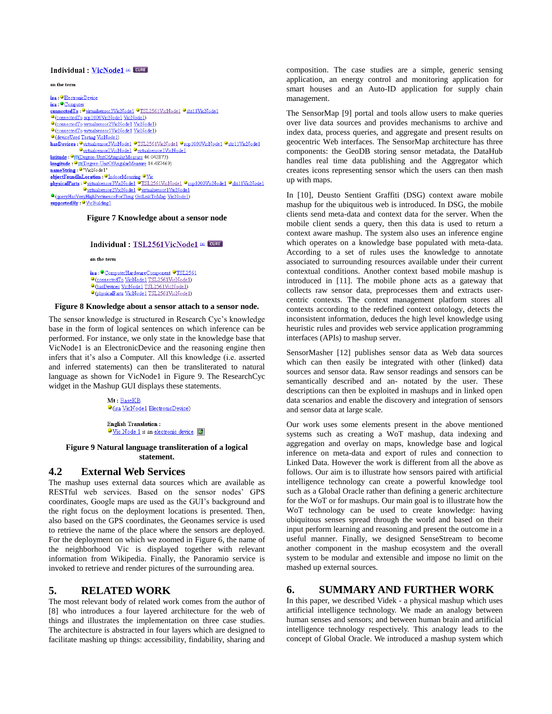#### Individual : VicNode1 EL CURE

on the term

isa **ElectronicDevice** isa: Computer connected To : Outbudsensor3VicNode1 OTSL2561VicNode1 Osht11VicNode1 ConnectedTo scp1000VicNode1 VicNode1) O (connectedTo virtualsensor2VicNode1 VicNode1) O(connectedTo virtualsensor1VicNode1 VicNode1) <sup>O</sup>(deviceUsed Testing VicNode1) hasDevices: Ovirtualsensor3VicNode1 OTSL2561VicNode1 Oscp1000VicNode1 Osht11VicNode1 Ovirtualsensor2VicNode1 Ovirtualsensor1VicNode1 latitude : <sup>O</sup> a Degree-UnitOfAngularMeasure 46.042873) Iongitude : Cal Degree-Unit Of Angular Measure 14.487469) objectFoundInLocation: OIndoorMounting OVic physicalParts Ovirtualsensor3VicNode1 OTSL2561VicNode1 Oscp1000VicNode1 Osht11VicNode1 Opirtualsensor2VicNode1 Opirtualsensor1VicNode1 O (queryHasVeryHighPertinenceForThing GetLinkToMap VicNode1) supportedBy: <sup>O</sup>VicBuilding1

#### <span id="page-4-0"></span>**Figure 7 Knowledge about a sensor node**

Individual: TSL2561VicNode1 EL CURE

on the term

isa : ComputerHardwareComponent °TSL2561 ConnectedTo VicNode1 TSL2561VicNode1) ChasDevices VicNode1 TSL2561VicNode1) O (physicalParts VicNode1 TSL2561VicNode1)

#### <span id="page-4-1"></span>**Figure 8 Knowledge about a sensor attach to a sensor node.**

The sensor knowledge is structured in Research Cyc's knowledge base in the form of logical sentences on which inference can be performed. For instance, we only state in the knowledge base that VicNode1 is an ElectronicDevice and the reasoning engine then infers that it's also a Computer. All this knowledge (i.e. asserted and inferred statements) can then be transliterated to natural language as shown for VicNode1 in [Figure 9.](#page-4-2) The ResearchCyc widget in the Mashup GUI displays these statements.

> Mt: BaseKB O (isa VicNode1 ElectronicDevice)

**English Translation:** Vic Node 1 is an electronic device.

#### <span id="page-4-2"></span>**Figure 9 Natural language transliteration of a logical statement.**

# **4.2 External Web Services**

The mashup uses external data sources which are available as RESTful web services. Based on the sensor nodes' GPS coordinates, Google maps are used as the GUI's background and the right focus on the deployment locations is presented. Then, also based on the GPS coordinates, the Geonames service is used to retrieve the name of the place where the sensors are deployed. For the deployment on which we zoomed in [Figure 6,](#page-3-1) the name of the neighborhood Vic is displayed together with relevant information from Wikipedia. Finally, the Panoramio service is invoked to retrieve and render pictures of the surrounding area.

# **5. RELATED WORK**

The most relevant body of related work comes from the author of [\[8\]](#page-5-7) who introduces a four layered architecture for the web of things and illustrates the implementation on three case studies. The architecture is abstracted in four layers which are designed to facilitate mashing up things: accessibility, findability, sharing and

composition. The case studies are a simple, generic sensing application, an energy control and monitoring application for smart houses and an Auto-ID application for supply chain management.

The SensorMap [\[9\]](#page-5-8) portal and tools allow users to make queries over live data sources and provides mechanisms to archive and index data, process queries, and aggregate and present results on geocentric Web interfaces. The SensorMap architecture has three components: the GeoDB storing sensor metadata, the DataHub handles real time data publishing and the Aggregator which creates icons representing sensor which the users can then mash up with maps.

In [\[10\],](#page-5-9) Deusto Sentient Graffiti (DSG) context aware mobile mashup for the ubiquitous web is introduced. In DSG, the mobile clients send meta-data and context data for the server. When the mobile client sends a query, then this data is used to return a context aware mashup. The system also uses an inference engine which operates on a knowledge base populated with meta-data. According to a set of rules uses the knowledge to annotate associated to surrounding resources available under their current contextual conditions. Another context based mobile mashup is introduced in [\[11\].](#page-5-10) The mobile phone acts as a gateway that collects raw sensor data, preprocesses them and extracts usercentric contexts. The context management platform stores all contexts according to the redefined context ontology, detects the inconsistent information, deduces the high level knowledge using heuristic rules and provides web service application programming interfaces (APIs) to mashup server.

SensorMasher [\[12\]](#page-5-11) publishes sensor data as Web data sources which can then easily be integrated with other (linked) data sources and sensor data. Raw sensor readings and sensors can be semantically described and an- notated by the user. These descriptions can then be exploited in mashups and in linked open data scenarios and enable the discovery and integration of sensors and sensor data at large scale.

Our work uses some elements present in the above mentioned systems such as creating a WoT mashup, data indexing and aggregation and overlay on maps, knowledge base and logical inference on meta-data and export of rules and connection to Linked Data. However the work is different from all the above as follows. Our aim is to illustrate how sensors paired with artificial intelligence technology can create a powerful knowledge tool such as a Global Oracle rather than defining a generic architecture for the WoT or for mashups. Our main goal is to illustrate how the WoT technology can be used to create knowledge: having ubiquitous senses spread through the world and based on their input perform learning and reasoning and present the outcome in a useful manner. Finally, we designed SenseStream to become another component in the mashup ecosystem and the overall system to be modular and extensible and impose no limit on the mashed up external sources.

# **6. SUMMARY AND FURTHER WORK**

In this paper, we described Videk - a physical mashup which uses artificial intelligence technology. We made an analogy between human senses and sensors; and between human brain and artificial intelligence technology respectively. This analogy leads to the concept of Global Oracle. We introduced a mashup system which